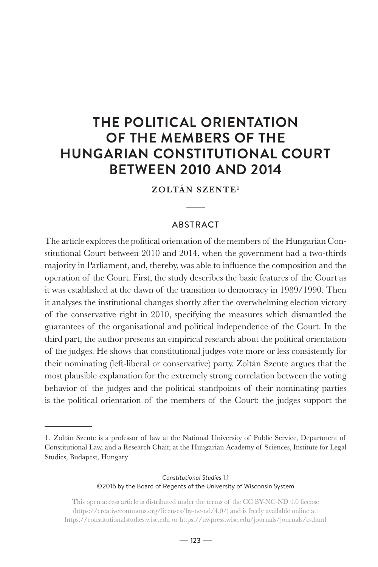# **THE POLITICAL ORIENTATION OF THE MEMBERS OF THE HUNGARIAN CONSTITUTIONAL COURT BETWEEN 2010 AND 2014**

ZOLTÁN SZENTE1

# ABSTRACT

The article explores the political orientation of the members of the Hungarian Constitutional Court between 2010 and 2014, when the government had a two-thirds majority in Parliament, and, thereby, was able to influence the composition and the operation of the Court. First, the study describes the basic features of the Court as it was established at the dawn of the transition to democracy in 1989/1990. Then it analyses the institutional changes shortly after the overwhelming election victory of the conservative right in 2010, specifying the measures which dismantled the guarantees of the organisational and political independence of the Court. In the third part, the author presents an empirical research about the political orientation of the judges. He shows that constitutional judges vote more or less consistently for their nominating (left-liberal or conservative) party. Zoltán Szente argues that the most plausible explanation for the extremely strong correlation between the voting behavior of the judges and the political standpoints of their nominating parties is the political orientation of the members of the Court: the judges support the

#### *Constitutional Studies* 1.1 ©2016 by the Board of Regents of the University of Wisconsin System

<sup>1.</sup> Zoltán Szente is a professor of law at the National University of Public Service, Department of Constitutional Law, and a Research Chair, at the Hungarian Academy of Sciences, Institute for Legal Studies, Budapest, Hungary.

This open access article is distributed under the terms of the CC BY-NC-ND 4.0 license (https://creativecommons.org/licenses/by-nc-nd/4.0/) and is freely available online at: https://constitutionalstudies.wisc.edu or https://uwpress.wisc.edu/journals/journals/cs.html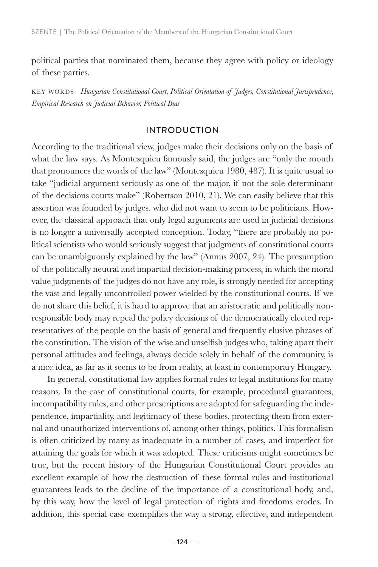political parties that nominated them, because they agree with policy or ideology of these parties.

KEY WORDS: *Hungarian Constitutional Court, Political Orientation of Judges, Constitutional Jurisprudence, Empirical Research on Judicial Behavior, Political Bias*

# INTRODUCTION

According to the traditional view, judges make their decisions only on the basis of what the law says. As Montesquieu famously said, the judges are "only the mouth that pronounces the words of the law" (Montesquieu 1980, 487). It is quite usual to take "judicial argument seriously as one of the major, if not the sole determinant of the decisions courts make" (Robertson 2010, 21). We can easily believe that this assertion was founded by judges, who did not want to seem to be politicians. However, the classical approach that only legal arguments are used in judicial decisions is no longer a universally accepted conception. Today, "there are probably no political scientists who would seriously suggest that judgments of constitutional courts can be unambiguously explained by the law" (Annus 2007, 24). The presumption of the politically neutral and impartial decision-making process, in which the moral value judgments of the judges do not have any role, is strongly needed for accepting the vast and legally uncontrolled power wielded by the constitutional courts. If we do not share this belief, it is hard to approve that an aristocratic and politically nonresponsible body may repeal the policy decisions of the democratically elected representatives of the people on the basis of general and frequently elusive phrases of the constitution. The vision of the wise and unselfish judges who, taking apart their personal attitudes and feelings, always decide solely in behalf of the community, is a nice idea, as far as it seems to be from reality, at least in contemporary Hungary.

In general, constitutional law applies formal rules to legal institutions for many reasons. In the case of constitutional courts, for example, procedural guarantees, incompatibility rules, and other prescriptions are adopted for safeguarding the independence, impartiality, and legitimacy of these bodies, protecting them from external and unauthorized interventions of, among other things, politics. This formalism is often criticized by many as inadequate in a number of cases, and imperfect for attaining the goals for which it was adopted. These criticisms might sometimes be true, but the recent history of the Hungarian Constitutional Court provides an excellent example of how the destruction of these formal rules and institutional guarantees leads to the decline of the importance of a constitutional body, and, by this way, how the level of legal protection of rights and freedoms erodes. In addition, this special case exemplifies the way a strong, effective, and independent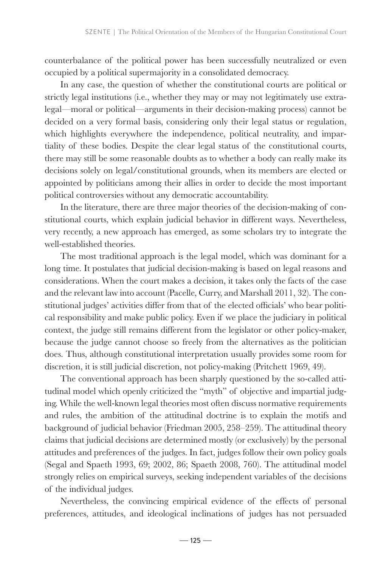counterbalance of the political power has been successfully neutralized or even occupied by a political supermajority in a consolidated democracy.

In any case, the question of whether the constitutional courts are political or strictly legal institutions (i.e., whether they may or may not legitimately use extralegal—moral or political—arguments in their decision-making process) cannot be decided on a very formal basis, considering only their legal status or regulation, which highlights everywhere the independence, political neutrality, and impartiality of these bodies. Despite the clear legal status of the constitutional courts, there may still be some reasonable doubts as to whether a body can really make its decisions solely on legal/constitutional grounds, when its members are elected or appointed by politicians among their allies in order to decide the most important political controversies without any democratic accountability.

In the literature, there are three major theories of the decision-making of constitutional courts, which explain judicial behavior in different ways. Nevertheless, very recently, a new approach has emerged, as some scholars try to integrate the well-established theories.

The most traditional approach is the legal model, which was dominant for a long time. It postulates that judicial decision-making is based on legal reasons and considerations. When the court makes a decision, it takes only the facts of the case and the relevant law into account (Pacelle, Curry, and Marshall 2011, 32). The constitutional judges' activities differ from that of the elected officials' who bear political responsibility and make public policy. Even if we place the judiciary in political context, the judge still remains different from the legislator or other policy-maker, because the judge cannot choose so freely from the alternatives as the politician does. Thus, although constitutional interpretation usually provides some room for discretion, it is still judicial discretion, not policy-making (Pritchett 1969, 49).

The conventional approach has been sharply questioned by the so-called attitudinal model which openly criticized the "myth" of objective and impartial judging. While the well-known legal theories most often discuss normative requirements and rules, the ambition of the attitudinal doctrine is to explain the motifs and background of judicial behavior (Friedman 2005, 258–259). The attitudinal theory claims that judicial decisions are determined mostly (or exclusively) by the personal attitudes and preferences of the judges. In fact, judges follow their own policy goals (Segal and Spaeth 1993, 69; 2002, 86; Spaeth 2008, 760). The attitudinal model strongly relies on empirical surveys, seeking independent variables of the decisions of the individual judges.

Nevertheless, the convincing empirical evidence of the effects of personal preferences, attitudes, and ideological inclinations of judges has not persuaded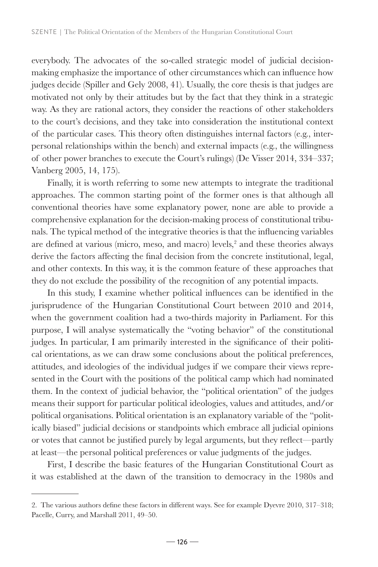everybody. The advocates of the so-called strategic model of judicial decisionmaking emphasize the importance of other circumstances which can influence how judges decide (Spiller and Gely 2008, 41). Usually, the core thesis is that judges are motivated not only by their attitudes but by the fact that they think in a strategic way. As they are rational actors, they consider the reactions of other stakeholders to the court's decisions, and they take into consideration the institutional context of the particular cases. This theory often distinguishes internal factors (e.g., interpersonal relationships within the bench) and external impacts (e.g., the willingness of other power branches to execute the Court's rulings) (De Visser 2014, 334–337; Vanberg 2005, 14, 175).

Finally, it is worth referring to some new attempts to integrate the traditional approaches. The common starting point of the former ones is that although all conventional theories have some explanatory power, none are able to provide a comprehensive explanation for the decision-making process of constitutional tribunals. The typical method of the integrative theories is that the influencing variables are defined at various (micro, meso, and macro) levels,<sup>2</sup> and these theories always derive the factors affecting the final decision from the concrete institutional, legal, and other contexts. In this way, it is the common feature of these approaches that they do not exclude the possibility of the recognition of any potential impacts.

In this study, I examine whether political influences can be identified in the jurisprudence of the Hungarian Constitutional Court between 2010 and 2014, when the government coalition had a two-thirds majority in Parliament. For this purpose, I will analyse systematically the "voting behavior" of the constitutional judges. In particular, I am primarily interested in the significance of their political orientations, as we can draw some conclusions about the political preferences, attitudes, and ideologies of the individual judges if we compare their views represented in the Court with the positions of the political camp which had nominated them. In the context of judicial behavior, the "political orientation" of the judges means their support for particular political ideologies, values and attitudes, and/or political organisations. Political orientation is an explanatory variable of the "politically biased" judicial decisions or standpoints which embrace all judicial opinions or votes that cannot be justified purely by legal arguments, but they reflect—partly at least—the personal political preferences or value judgments of the judges.

First, I describe the basic features of the Hungarian Constitutional Court as it was established at the dawn of the transition to democracy in the 1980s and

<sup>2.</sup> The various authors define these factors in different ways. See for example Dyevre 2010, 317–318; Pacelle, Curry, and Marshall 2011, 49–50.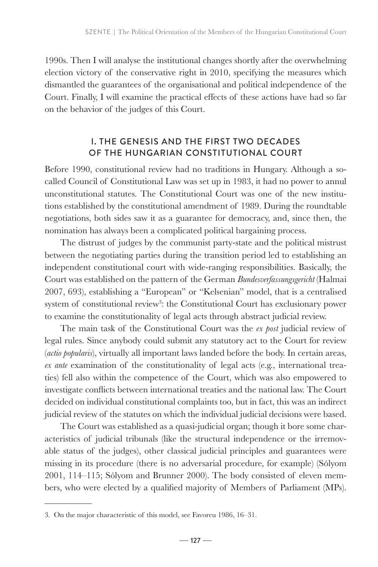1990s. Then I will analyse the institutional changes shortly after the overwhelming election victory of the conservative right in 2010, specifying the measures which dismantled the guarantees of the organisational and political independence of the Court. Finally, I will examine the practical effects of these actions have had so far on the behavior of the judges of this Court.

# I. THE GENESIS AND THE FIRST TWO DECADES OF THE HUNGARIAN CONSTITUTIONAL COURT

Before 1990, constitutional review had no traditions in Hungary. Although a socalled Council of Constitutional Law was set up in 1983, it had no power to annul unconstitutional statutes. The Constitutional Court was one of the new institutions established by the constitutional amendment of 1989. During the roundtable negotiations, both sides saw it as a guarantee for democracy, and, since then, the nomination has always been a complicated political bargaining process.

The distrust of judges by the communist party-state and the political mistrust between the negotiating parties during the transition period led to establishing an independent constitutional court with wide-ranging responsibilities. Basically, the Court was established on the pattern of the German *Bundesverfassungsgericht* (Halmai 2007, 693), establishing a "European" or "Kelsenian" model, that is a centralised system of constitutional review<sup>3</sup>: the Constitutional Court has exclusionary power to examine the constitutionality of legal acts through abstract judicial review.

The main task of the Constitutional Court was the *ex post* judicial review of legal rules. Since anybody could submit any statutory act to the Court for review (*actio popularis*), virtually all important laws landed before the body. In certain areas, *ex ante* examination of the constitutionality of legal acts (e.g., international treaties) fell also within the competence of the Court, which was also empowered to investigate conflicts between international treaties and the national law. The Court decided on individual constitutional complaints too, but in fact, this was an indirect judicial review of the statutes on which the individual judicial decisions were based.

The Court was established as a quasi-judicial organ; though it bore some characteristics of judicial tribunals (like the structural independence or the irremovable status of the judges), other classical judicial principles and guarantees were missing in its procedure (there is no adversarial procedure, for example) (Sólyom 2001, 114–115; Sólyom and Brunner 2000). The body consisted of eleven members, who were elected by a qualified majority of Members of Parliament (MPs).

<sup>3.</sup> On the major characteristic of this model, see Favoreu 1986, 16–31.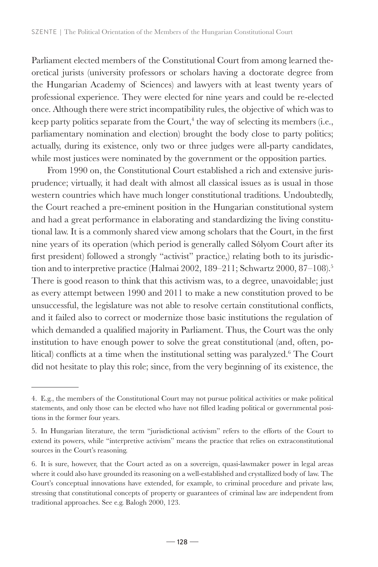Parliament elected members of the Constitutional Court from among learned theoretical jurists (university professors or scholars having a doctorate degree from the Hungarian Academy of Sciences) and lawyers with at least twenty years of professional experience. They were elected for nine years and could be re-elected once. Although there were strict incompatibility rules, the objective of which was to keep party politics separate from the Court, $<sup>4</sup>$  the way of selecting its members (i.e.,</sup> parliamentary nomination and election) brought the body close to party politics; actually, during its existence, only two or three judges were all-party candidates, while most justices were nominated by the government or the opposition parties.

From 1990 on, the Constitutional Court established a rich and extensive jurisprudence; virtually, it had dealt with almost all classical issues as is usual in those western countries which have much longer constitutional traditions. Undoubtedly, the Court reached a pre-eminent position in the Hungarian constitutional system and had a great performance in elaborating and standardizing the living constitutional law. It is a commonly shared view among scholars that the Court, in the first nine years of its operation (which period is generally called Sólyom Court after its first president) followed a strongly "activist" practice,) relating both to its jurisdiction and to interpretive practice (Halmai 2002, 189-211; Schwartz 2000, 87-108).<sup>5</sup> There is good reason to think that this activism was, to a degree, unavoidable; just as every attempt between 1990 and 2011 to make a new constitution proved to be unsuccessful, the legislature was not able to resolve certain constitutional conflicts, and it failed also to correct or modernize those basic institutions the regulation of which demanded a qualified majority in Parliament. Thus, the Court was the only institution to have enough power to solve the great constitutional (and, often, political) conflicts at a time when the institutional setting was paralyzed.<sup>6</sup> The Court did not hesitate to play this role; since, from the very beginning of its existence, the

<sup>4.</sup> E.g., the members of the Constitutional Court may not pursue political activities or make political statements, and only those can be elected who have not filled leading political or governmental positions in the former four years.

<sup>5.</sup> In Hungarian literature, the term "jurisdictional activism" refers to the efforts of the Court to extend its powers, while "interpretive activism" means the practice that relies on extraconstitutional sources in the Court's reasoning.

<sup>6.</sup> It is sure, however, that the Court acted as on a sovereign, quasi-lawmaker power in legal areas where it could also have grounded its reasoning on a well-established and crystallized body of law. The Court's conceptual innovations have extended, for example, to criminal procedure and private law, stressing that constitutional concepts of property or guarantees of criminal law are independent from traditional approaches. See e.g. Balogh 2000, 123.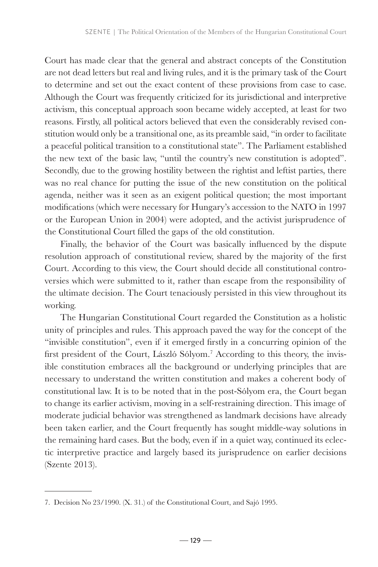Court has made clear that the general and abstract concepts of the Constitution are not dead letters but real and living rules, and it is the primary task of the Court to determine and set out the exact content of these provisions from case to case. Although the Court was frequently criticized for its jurisdictional and interpretive activism, this conceptual approach soon became widely accepted, at least for two reasons. Firstly, all political actors believed that even the considerably revised constitution would only be a transitional one, as its preamble said, "in order to facilitate a peaceful political transition to a constitutional state". The Parliament established the new text of the basic law, "until the country's new constitution is adopted". Secondly, due to the growing hostility between the rightist and leftist parties, there was no real chance for putting the issue of the new constitution on the political agenda, neither was it seen as an exigent political question; the most important modifications (which were necessary for Hungary's accession to the NATO in 1997 or the European Union in 2004) were adopted, and the activist jurisprudence of the Constitutional Court filled the gaps of the old constitution.

Finally, the behavior of the Court was basically influenced by the dispute resolution approach of constitutional review, shared by the majority of the first Court. According to this view, the Court should decide all constitutional controversies which were submitted to it, rather than escape from the responsibility of the ultimate decision. The Court tenaciously persisted in this view throughout its working.

The Hungarian Constitutional Court regarded the Constitution as a holistic unity of principles and rules. This approach paved the way for the concept of the "invisible constitution", even if it emerged firstly in a concurring opinion of the first president of the Court, László Sólyom.<sup>7</sup> According to this theory, the invisible constitution embraces all the background or underlying principles that are necessary to understand the written constitution and makes a coherent body of constitutional law. It is to be noted that in the post-Sólyom era, the Court began to change its earlier activism, moving in a self-restraining direction. This image of moderate judicial behavior was strengthened as landmark decisions have already been taken earlier, and the Court frequently has sought middle-way solutions in the remaining hard cases. But the body, even if in a quiet way, continued its eclectic interpretive practice and largely based its jurisprudence on earlier decisions (Szente 2013).

<sup>7.</sup> Decision No 23/1990. (X. 31.) of the Constitutional Court, and Sajó 1995.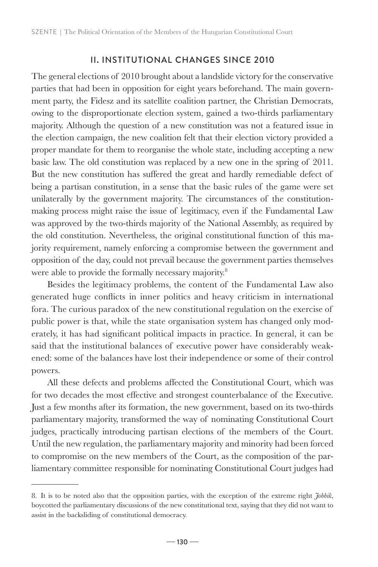# II. INSTITUTIONAL CHANGES SINCE 2010

The general elections of 2010 brought about a landslide victory for the conservative parties that had been in opposition for eight years beforehand. The main government party, the Fidesz and its satellite coalition partner, the Christian Democrats, owing to the disproportionate election system, gained a two-thirds parliamentary majority. Although the question of a new constitution was not a featured issue in the election campaign, the new coalition felt that their election victory provided a proper mandate for them to reorganise the whole state, including accepting a new basic law. The old constitution was replaced by a new one in the spring of 2011. But the new constitution has suffered the great and hardly remediable defect of being a partisan constitution, in a sense that the basic rules of the game were set unilaterally by the government majority. The circumstances of the constitutionmaking process might raise the issue of legitimacy, even if the Fundamental Law was approved by the two-thirds majority of the National Assembly, as required by the old constitution. Nevertheless, the original constitutional function of this majority requirement, namely enforcing a compromise between the government and opposition of the day, could not prevail because the government parties themselves were able to provide the formally necessary majority.<sup>8</sup>

Besides the legitimacy problems, the content of the Fundamental Law also generated huge conflicts in inner politics and heavy criticism in international fora. The curious paradox of the new constitutional regulation on the exercise of public power is that, while the state organisation system has changed only moderately, it has had significant political impacts in practice. In general, it can be said that the institutional balances of executive power have considerably weakened: some of the balances have lost their independence or some of their control powers.

All these defects and problems affected the Constitutional Court, which was for two decades the most effective and strongest counterbalance of the Executive. Just a few months after its formation, the new government, based on its two-thirds parliamentary majority, transformed the way of nominating Constitutional Court judges, practically introducing partisan elections of the members of the Court. Until the new regulation, the parliamentary majority and minority had been forced to compromise on the new members of the Court, as the composition of the parliamentary committee responsible for nominating Constitutional Court judges had

<sup>8.</sup> It is to be noted also that the opposition parties, with the exception of the extreme right *Jobbik*, boycotted the parliamentary discussions of the new constitutional text, saying that they did not want to assist in the backsliding of constitutional democracy.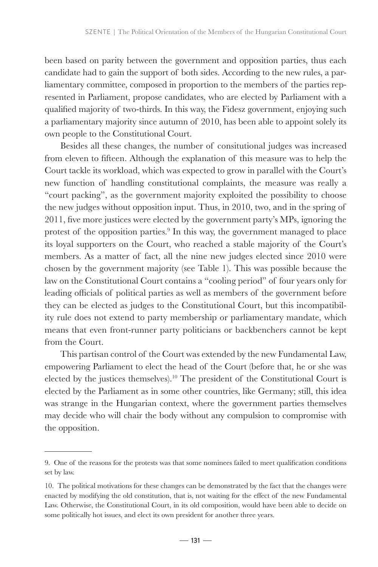been based on parity between the government and opposition parties, thus each candidate had to gain the support of both sides. According to the new rules, a parliamentary committee, composed in proportion to the members of the parties represented in Parliament, propose candidates, who are elected by Parliament with a qualified majority of two-thirds. In this way, the Fidesz government, enjoying such a parliamentary majority since autumn of 2010, has been able to appoint solely its own people to the Constitutional Court.

Besides all these changes, the number of consitutional judges was increased from eleven to fifteen. Although the explanation of this measure was to help the Court tackle its workload, which was expected to grow in parallel with the Court's new function of handling constitutional complaints, the measure was really a "court packing", as the government majority exploited the possibility to choose the new judges without opposition input. Thus, in 2010, two, and in the spring of 2011, five more justices were elected by the government party's MPs, ignoring the protest of the opposition parties.<sup>9</sup> In this way, the government managed to place its loyal supporters on the Court, who reached a stable majority of the Court's members. As a matter of fact, all the nine new judges elected since 2010 were chosen by the government majority (see Table 1). This was possible because the law on the Constitutional Court contains a "cooling period" of four years only for leading officials of political parties as well as members of the government before they can be elected as judges to the Constitutional Court, but this incompatibility rule does not extend to party membership or parliamentary mandate, which means that even front-runner party politicians or backbenchers cannot be kept from the Court.

This partisan control of the Court was extended by the new Fundamental Law, empowering Parliament to elect the head of the Court (before that, he or she was elected by the justices themselves).10 The president of the Constitutional Court is elected by the Parliament as in some other countries, like Germany; still, this idea was strange in the Hungarian context, where the government parties themselves may decide who will chair the body without any compulsion to compromise with the opposition.

<sup>9.</sup> One of the reasons for the protests was that some nominees failed to meet qualification conditions set by law.

<sup>10.</sup> The political motivations for these changes can be demonstrated by the fact that the changes were enacted by modifying the old constitution, that is, not waiting for the effect of the new Fundamental Law. Otherwise, the Constitutional Court, in its old composition, would have been able to decide on some politically hot issues, and elect its own president for another three years.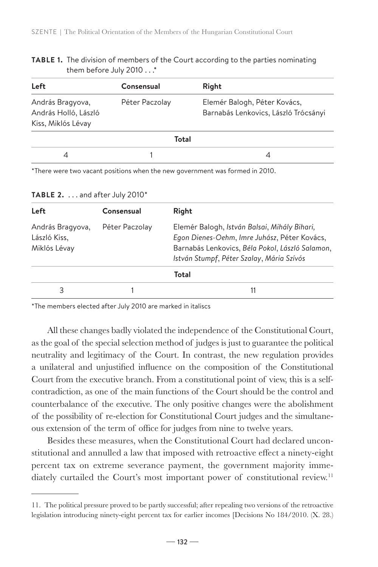**TABLE 1.** The division of members of the Court according to the parties nominating them before July 2010 . . .\*

| Left                                                           | Consensual     | Right                                                                |  |  |  |
|----------------------------------------------------------------|----------------|----------------------------------------------------------------------|--|--|--|
| András Bragyova,<br>András Holló, László<br>Kiss, Miklós Lévay | Péter Paczolay | Elemér Balogh, Péter Kovács,<br>Barnabás Lenkovics, László Trócsányi |  |  |  |
| Total                                                          |                |                                                                      |  |  |  |
| 4                                                              |                |                                                                      |  |  |  |

\*There were two vacant positions when the new government was formed in 2010.

| Left                                             | Consensual     | Right                                                                                                                                                                                        |
|--------------------------------------------------|----------------|----------------------------------------------------------------------------------------------------------------------------------------------------------------------------------------------|
| András Bragyova,<br>László Kiss,<br>Miklós Lévay | Péter Paczolay | Elemér Balogh, István Balsai, Mihály Bihari,<br>Egon Dienes-Oehm, Imre Juhász, Péter Kovács,<br>Barnabás Lenkovics, Béla Pokol, László Salamon,<br>István Stumpf, Péter Szalay, Mária Szívós |
|                                                  |                | Total                                                                                                                                                                                        |
|                                                  |                |                                                                                                                                                                                              |

**TABLE 2.** . . . and after July 2010\*

\*The members elected after July 2010 are marked in italiscs

All these changes badly violated the independence of the Constitutional Court, as the goal of the special selection method of judges is just to guarantee the political neutrality and legitimacy of the Court. In contrast, the new regulation provides a unilateral and unjustified influence on the composition of the Constitutional Court from the executive branch. From a constitutional point of view, this is a selfcontradiction, as one of the main functions of the Court should be the control and counterbalance of the executive. The only positive changes were the abolishment of the possibility of re-election for Constitutional Court judges and the simultaneous extension of the term of office for judges from nine to twelve years.

Besides these measures, when the Constitutional Court had declared unconstitutional and annulled a law that imposed with retroactive effect a ninety-eight percent tax on extreme severance payment, the government majority immediately curtailed the Court's most important power of constitutional review.<sup>11</sup>

<sup>11.</sup> The political pressure proved to be partly successful; after repealing two versions of the retroactive legislation introducing ninety-eight percent tax for earlier incomes [Decisions No 184/2010. (X. 28.)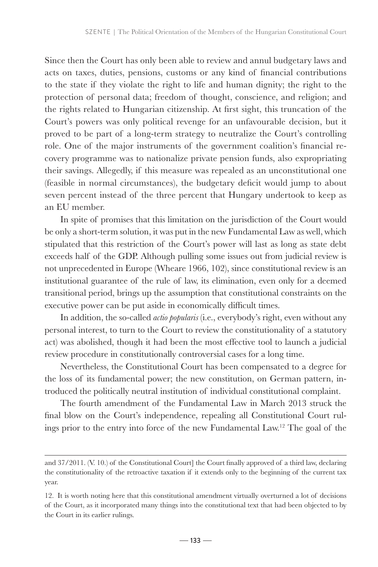Since then the Court has only been able to review and annul budgetary laws and acts on taxes, duties, pensions, customs or any kind of financial contributions to the state if they violate the right to life and human dignity; the right to the protection of personal data; freedom of thought, conscience, and religion; and the rights related to Hungarian citizenship. At first sight, this truncation of the Court's powers was only political revenge for an unfavourable decision, but it proved to be part of a long-term strategy to neutralize the Court's controlling role. One of the major instruments of the government coalition's financial recovery programme was to nationalize private pension funds, also expropriating their savings. Allegedly, if this measure was repealed as an unconstitutional one (feasible in normal circumstances), the budgetary deficit would jump to about seven percent instead of the three percent that Hungary undertook to keep as an EU member.

In spite of promises that this limitation on the jurisdiction of the Court would be only a short-term solution, it was put in the new Fundamental Law as well, which stipulated that this restriction of the Court's power will last as long as state debt exceeds half of the GDP. Although pulling some issues out from judicial review is not unprecedented in Europe (Wheare 1966, 102), since constitutional review is an institutional guarantee of the rule of law, its elimination, even only for a deemed transitional period, brings up the assumption that constitutional constraints on the executive power can be put aside in economically difficult times.

In addition, the so-called *actio popularis* (i.e., everybody's right, even without any personal interest, to turn to the Court to review the constitutionality of a statutory act) was abolished, though it had been the most effective tool to launch a judicial review procedure in constitutionally controversial cases for a long time.

Nevertheless, the Constitutional Court has been compensated to a degree for the loss of its fundamental power; the new constitution, on German pattern, introduced the politically neutral institution of individual constitutional complaint.

The fourth amendment of the Fundamental Law in March 2013 struck the final blow on the Court's independence, repealing all Constitutional Court rulings prior to the entry into force of the new Fundamental Law.12 The goal of the

and 37/2011. (V. 10.) of the Constitutional Court] the Court finally approved of a third law, declaring the constitutionality of the retroactive taxation if it extends only to the beginning of the current tax year.

<sup>12.</sup> It is worth noting here that this constitutional amendment virtually overturned a lot of decisions of the Court, as it incorporated many things into the constitutional text that had been objected to by the Court in its earlier rulings.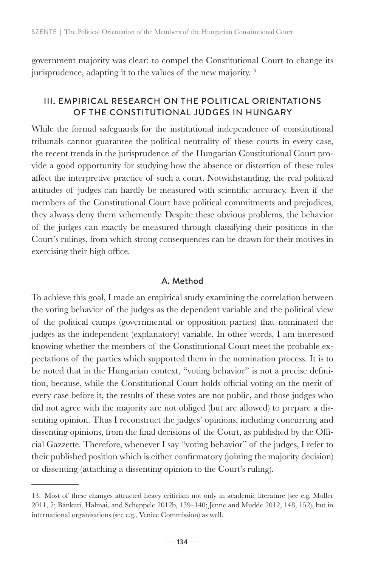government majority was clear: to compel the Constitutional Court to change its jurisprudence, adapting it to the values of the new majority.<sup>13</sup>

# III. EMPIRICAL RESEARCH ON THE POLITICAL ORIENTATIONS OF THE CONSTITUTIONAL JUDGES IN HUNGARY

While the formal safeguards for the institutional independence of constitutional tribunals cannot guarantee the political neutrality of these courts in every case, the recent trends in the jurisprudence of the Hungarian Constitutional Court provide a good opportunity for studying how the absence or distortion of these rules affect the interpretive practice of such a court. Notwithstanding, the real political attitudes of judges can hardly be measured with scientific accuracy. Even if the members of the Constitutional Court have political commitments and prejudices, they always deny them vehemently. Despite these obvious problems, the behavior of the judges can exactly be measured through classifying their positions in the Court's rulings, from which strong consequences can be drawn for their motives in exercising their high office.

### A. Method

To achieve this goal, I made an empirical study examining the correlation between the voting behavior of the judges as the dependent variable and the political view of the political camps (governmental or opposition parties) that nominated the judges as the independent (explanatory) variable. In other words, I am interested knowing whether the members of the Constitutional Court meet the probable expectations of the parties which supported them in the nomination process. It is to be noted that in the Hungarian context, "voting behavior" is not a precise definition, because, while the Constitutional Court holds official voting on the merit of every case before it, the results of these votes are not public, and those judges who did not agree with the majority are not obliged (but are allowed) to prepare a dissenting opinion. Thus I reconstruct the judges' opinions, including concurring and dissenting opinions, from the final decisions of the Court, as published by the Official Gazzette. Therefore, whenever I say "voting behavior" of the judges, I refer to their published position which is either confirmatory (joining the majority decision) or dissenting (attaching a dissenting opinion to the Court's ruling).

<sup>13.</sup> Most of these changes attracted heavy criticism not only in academic literature (see e.g. Müller 2011, 7; Bánkuti, Halmai, and Scheppele 2012b, 139–140; Jenne and Mudde 2012, 148, 152), but in international organisations (see e.g., Venice Commission) as well.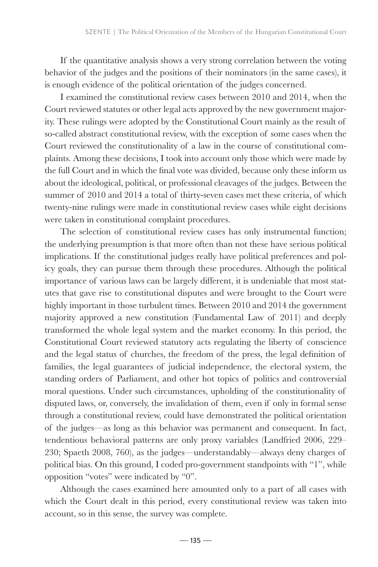If the quantitative analysis shows a very strong correlation between the voting behavior of the judges and the positions of their nominators (in the same cases), it is enough evidence of the political orientation of the judges concerned.

I examined the constitutional review cases between 2010 and 2014, when the Court reviewed statutes or other legal acts approved by the new government majority. These rulings were adopted by the Constitutional Court mainly as the result of so-called abstract constitutional review, with the exception of some cases when the Court reviewed the constitutionality of a law in the course of constitutional complaints. Among these decisions, I took into account only those which were made by the full Court and in which the final vote was divided, because only these inform us about the ideological, political, or professional cleavages of the judges. Between the summer of 2010 and 2014 a total of thirty-seven cases met these criteria, of which twenty-nine rulings were made in constitutional review cases while eight decisions were taken in constitutional complaint procedures.

The selection of constitutional review cases has only instrumental function; the underlying presumption is that more often than not these have serious political implications. If the constitutional judges really have political preferences and policy goals, they can pursue them through these procedures. Although the political importance of various laws can be largely different, it is undeniable that most statutes that gave rise to constitutional disputes and were brought to the Court were highly important in those turbulent times. Between 2010 and 2014 the government majority approved a new constitution (Fundamental Law of 2011) and deeply transformed the whole legal system and the market economy. In this period, the Constitutional Court reviewed statutory acts regulating the liberty of conscience and the legal status of churches, the freedom of the press, the legal definition of families, the legal guarantees of judicial independence, the electoral system, the standing orders of Parliament, and other hot topics of politics and controversial moral questions. Under such circumstances, upholding of the constitutionality of disputed laws, or, conversely, the invalidation of them, even if only in formal sense through a constitutional review, could have demonstrated the political orientation of the judges—as long as this behavior was permanent and consequent. In fact, tendentious behavioral patterns are only proxy variables (Landfried 2006, 229– 230; Spaeth 2008, 760), as the judges—understandably—always deny charges of political bias. On this ground, I coded pro-government standpoints with "1", while opposition "votes" were indicated by "0".

Although the cases examined here amounted only to a part of all cases with which the Court dealt in this period, every constitutional review was taken into account, so in this sense, the survey was complete.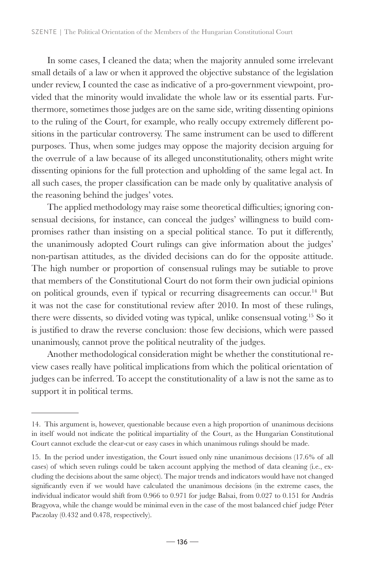In some cases, I cleaned the data; when the majority annuled some irrelevant small details of a law or when it approved the objective substance of the legislation under review, I counted the case as indicative of a pro-government viewpoint, provided that the minority would invalidate the whole law or its essential parts. Furthermore, sometimes those judges are on the same side, writing dissenting opinions to the ruling of the Court, for example, who really occupy extremely different positions in the particular controversy. The same instrument can be used to different purposes. Thus, when some judges may oppose the majority decision arguing for the overrule of a law because of its alleged unconstitutionality, others might write dissenting opinions for the full protection and upholding of the same legal act. In all such cases, the proper classification can be made only by qualitative analysis of the reasoning behind the judges' votes.

The applied methodology may raise some theoretical difficulties; ignoring consensual decisions, for instance, can conceal the judges' willingness to build compromises rather than insisting on a special political stance. To put it differently, the unanimously adopted Court rulings can give information about the judges' non-partisan attitudes, as the divided decisions can do for the opposite attitude. The high number or proportion of consensual rulings may be sutiable to prove that members of the Constitutional Court do not form their own judicial opinions on political grounds, even if typical or recurring disagreements can occur.<sup>14</sup> But it was not the case for constitutional review after 2010. In most of these rulings, there were dissents, so divided voting was typical, unlike consensual voting.15 So it is justified to draw the reverse conclusion: those few decisions, which were passed unanimously, cannot prove the political neutrality of the judges.

Another methodological consideration might be whether the constitutional review cases really have political implications from which the political orientation of judges can be inferred. To accept the constitutionality of a law is not the same as to support it in political terms.

<sup>14.</sup> This argument is, however, questionable because even a high proportion of unanimous decisions in itself would not indicate the political impartiality of the Court, as the Hungarian Constitutional Court cannot exclude the clear-cut or easy cases in which unanimous rulings should be made.

<sup>15.</sup> In the period under investigation, the Court issued only nine unanimous decisions (17.6% of all cases) of which seven rulings could be taken account applying the method of data cleaning (i.e., excluding the decisions about the same object). The major trends and indicators would have not changed significantly even if we would have calculated the unanimous decisions (in the extreme cases, the individual indicator would shift from 0.966 to 0.971 for judge Balsai, from 0.027 to 0.151 for András Bragyova, while the change would be minimal even in the case of the most balanced chief judge Péter Paczolay (0.432 and 0.478, respectively).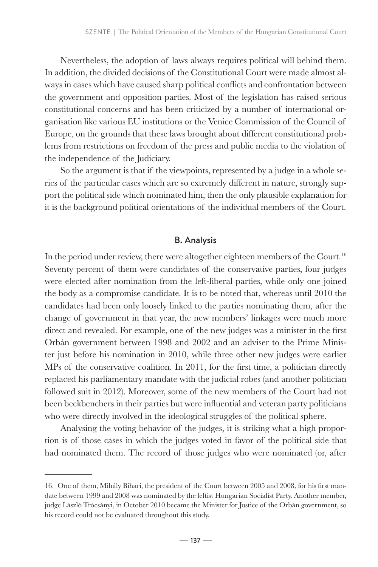Nevertheless, the adoption of laws always requires political will behind them. In addition, the divided decisions of the Constitutional Court were made almost always in cases which have caused sharp political conflicts and confrontation between the government and opposition parties. Most of the legislation has raised serious constitutional concerns and has been criticized by a number of international organisation like various EU institutions or the Venice Commission of the Council of Europe, on the grounds that these laws brought about different constitutional problems from restrictions on freedom of the press and public media to the violation of the independence of the Judiciary.

So the argument is that if the viewpoints, represented by a judge in a whole series of the particular cases which are so extremely different in nature, strongly support the political side which nominated him, then the only plausible explanation for it is the background political orientations of the individual members of the Court.

### B. Analysis

In the period under review, there were altogether eighteen members of the Court.<sup>16</sup> Seventy percent of them were candidates of the conservative parties, four judges were elected after nomination from the left-liberal parties, while only one joined the body as a compromise candidate. It is to be noted that, whereas until 2010 the candidates had been only loosely linked to the parties nominating them, after the change of government in that year, the new members' linkages were much more direct and revealed. For example, one of the new judges was a minister in the first Orbán government between 1998 and 2002 and an adviser to the Prime Minister just before his nomination in 2010, while three other new judges were earlier MPs of the conservative coalition. In 2011, for the first time, a politician directly replaced his parliamentary mandate with the judicial robes (and another politician followed suit in 2012). Moreover, some of the new members of the Court had not been beckbenchers in their parties but were influential and veteran party politicians who were directly involved in the ideological struggles of the political sphere.

Analysing the voting behavior of the judges, it is striking what a high proportion is of those cases in which the judges voted in favor of the political side that had nominated them. The record of those judges who were nominated (or, after

<sup>16.</sup> One of them, Mihály Bihari, the president of the Court between 2005 and 2008, for his first mandate between 1999 and 2008 was nominated by the leftist Hungarian Socialist Party. Another member, judge László Trócsányi, in October 2010 became the Minister for Justice of the Orbán government, so his record could not be evaluated throughout this study.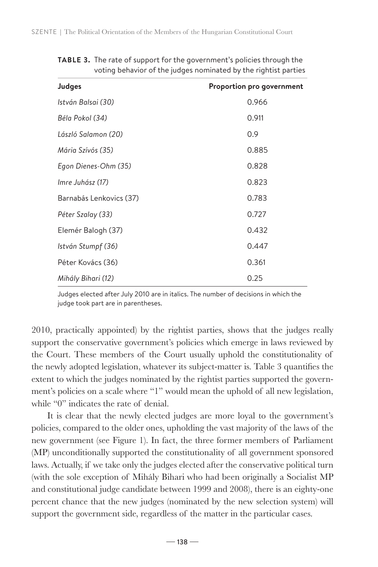| Judges                  | Proportion pro government |
|-------------------------|---------------------------|
| István Balsai (30)      | 0.966                     |
| Béla Pokol (34)         | 0.911                     |
| László Salamon (20)     | 0.9                       |
| Mária Szívós (35)       | 0.885                     |
| Egon Dienes-Ohm (35)    | 0.828                     |
| Imre Juhász (17)        | 0.823                     |
| Barnabás Lenkovics (37) | 0.783                     |
| Péter Szalay (33)       | 0.727                     |
| Elemér Balogh (37)      | 0.432                     |
| István Stumpf (36)      | 0.447                     |
| Péter Kovács (36)       | 0.361                     |
| Mihály Bihari (12)      | 0.25                      |

**TABLE 3.** The rate of support for the government's policies through the voting behavior of the judges nominated by the rightist parties

Judges elected after July 2010 are in italics. The number of decisions in which the judge took part are in parentheses.

2010, practically appointed) by the rightist parties, shows that the judges really support the conservative government's policies which emerge in laws reviewed by the Court. These members of the Court usually uphold the constitutionality of the newly adopted legislation, whatever its subject-matter is. Table 3 quantifies the extent to which the judges nominated by the rightist parties supported the government's policies on a scale where "1" would mean the uphold of all new legislation, while "0" indicates the rate of denial.

It is clear that the newly elected judges are more loyal to the government's policies, compared to the older ones, upholding the vast majority of the laws of the new government (see Figure 1). In fact, the three former members of Parliament (MP) unconditionally supported the constitutionality of all government sponsored laws. Actually, if we take only the judges elected after the conservative political turn (with the sole exception of Mihály Bihari who had been originally a Socialist MP and constitutional judge candidate between 1999 and 2008), there is an eighty-one percent chance that the new judges (nominated by the new selection system) will support the government side, regardless of the matter in the particular cases.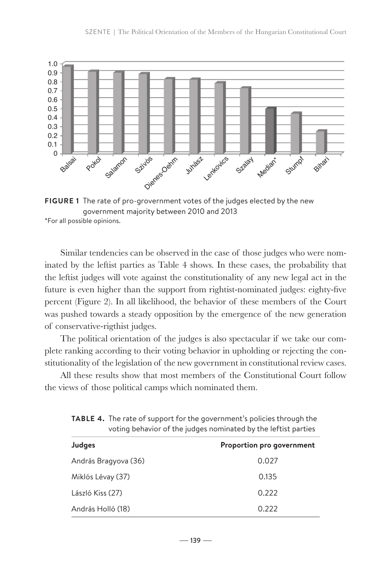

**FIGURE 1** The rate of pro-grovernment votes of the judges elected by the new government majority between 2010 and 2013 \*For all possible opinions.

Similar tendencies can be observed in the case of those judges who were nominated by the leftist parties as Table 4 shows. In these cases, the probability that the leftist judges will vote against the constitutionality of any new legal act in the future is even higher than the support from rightist-nominated judges: eighty-five percent (Figure 2). In all likelihood, the behavior of these members of the Court was pushed towards a steady opposition by the emergence of the new generation of conservative-rigthist judges.

The political orientation of the judges is also spectacular if we take our complete ranking according to their voting behavior in upholding or rejecting the constitutionality of the legislation of the new government in constitutional review cases.

All these results show that most members of the Constitutional Court follow the views of those political camps which nominated them.

| voting behavior of the judges nominated by the leftist parties |                           |  |
|----------------------------------------------------------------|---------------------------|--|
| Judges                                                         | Proportion pro government |  |
| András Bragyova (36)                                           | 0.027                     |  |
| Miklós Lévay (37)                                              | 0.135                     |  |
| László Kiss (27)                                               | 0.222                     |  |
| András Holló (18)                                              | 0.222                     |  |

**TABLE 4.** The rate of support for the government's policies through the voting behavior of the judges nominated by the leftist parties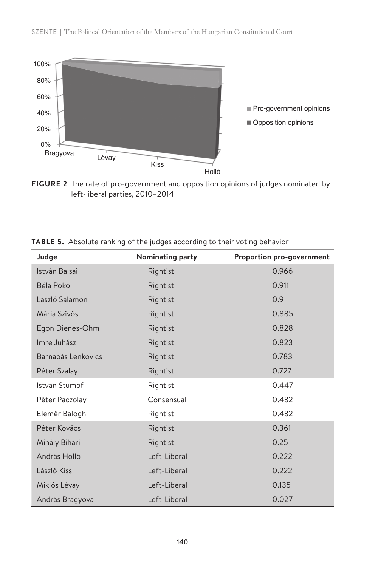

**FIGURE 2** The rate of pro-government and opposition opinions of judges nominated by left-liberal parties, 2010–2014

| Judge              | Nominating party | Proportion pro-government |
|--------------------|------------------|---------------------------|
| István Balsai      | Rightist         | 0.966                     |
| Béla Pokol         | Rightist         | 0.911                     |
| László Salamon     | Rightist         | 0.9                       |
| Mária Szívós       | Rightist         | 0.885                     |
| Egon Dienes-Ohm    | Rightist         | 0.828                     |
| Imre Juhász        | Rightist         | 0.823                     |
| Barnabás Lenkovics | Rightist         | 0.783                     |
| Péter Szalay       | Rightist         | 0.727                     |
| István Stumpf      | Rightist         | 0.447                     |
| Péter Paczolay     | Consensual       | 0.432                     |
| Elemér Balogh      | Rightist         | 0.432                     |
| Péter Kovács       | Rightist         | 0.361                     |
| Mihály Bihari      | Rightist         | 0.25                      |
| András Holló       | Left-Liberal     | 0.222                     |
| László Kiss        | Left-Liberal     | 0.222                     |
| Miklós Lévay       | Left-Liberal     | 0.135                     |
| András Bragyova    | Left-Liberal     | 0.027                     |

**TABLE 5.** Absolute ranking of the judges according to their voting behavior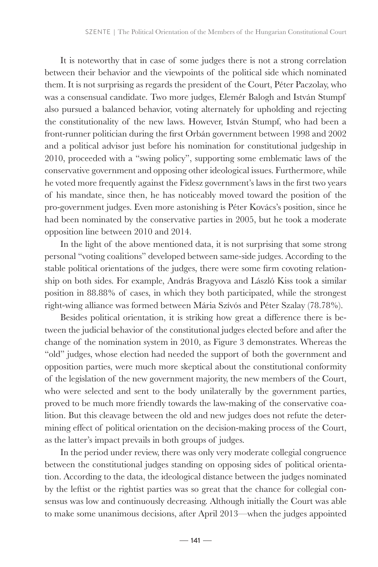It is noteworthy that in case of some judges there is not a strong correlation between their behavior and the viewpoints of the political side which nominated them. It is not surprising as regards the president of the Court, Péter Paczolay, who was a consensual candidate. Two more judges, Elemér Balogh and István Stumpf also pursued a balanced behavior, voting alternately for upholding and rejecting the constitutionality of the new laws. However, István Stumpf, who had been a front-runner politician during the first Orbán government between 1998 and 2002 and a political advisor just before his nomination for constitutional judgeship in 2010, proceeded with a "swing policy", supporting some emblematic laws of the conservative government and opposing other ideological issues. Furthermore, while he voted more frequently against the Fidesz government's laws in the first two years of his mandate, since then, he has noticeably moved toward the position of the pro-government judges. Even more astonishing is Péter Kovács's position, since he had been nominated by the conservative parties in 2005, but he took a moderate opposition line between 2010 and 2014.

In the light of the above mentioned data, it is not surprising that some strong personal "voting coalitions" developed between same-side judges. According to the stable political orientations of the judges, there were some firm covoting relationship on both sides. For example, András Bragyova and László Kiss took a similar position in 88.88% of cases, in which they both participated, while the strongest right-wing alliance was formed between Mária Szívós and Péter Szalay (78.78%).

Besides political orientation, it is striking how great a difference there is between the judicial behavior of the constitutional judges elected before and after the change of the nomination system in 2010, as Figure 3 demonstrates. Whereas the "old" judges, whose election had needed the support of both the government and opposition parties, were much more skeptical about the constitutional conformity of the legislation of the new government majority, the new members of the Court, who were selected and sent to the body unilaterally by the government parties, proved to be much more friendly towards the law-making of the conservative coalition. But this cleavage between the old and new judges does not refute the determining effect of political orientation on the decision-making process of the Court, as the latter's impact prevails in both groups of judges.

In the period under review, there was only very moderate collegial congruence between the constitutional judges standing on opposing sides of political orientation. According to the data, the ideological distance between the judges nominated by the leftist or the rightist parties was so great that the chance for collegial consensus was low and continuously decreasing. Although initially the Court was able to make some unanimous decisions, after April 2013—when the judges appointed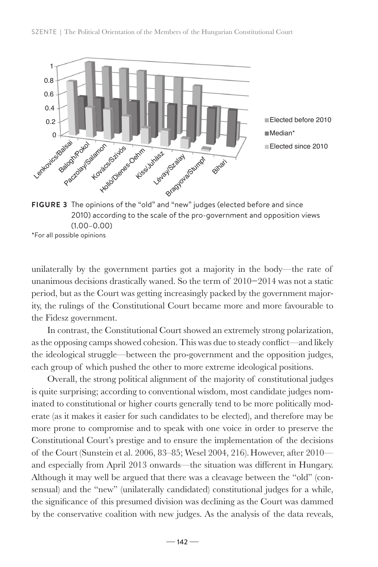

**FIGURE 3** The opinions of the "old" and "new" judges (elected before and since 2010) according to the scale of the pro-government and opposition views (1.00–0.00) \*For all possible opinions

unilaterally by the government parties got a majority in the body—the rate of unanimous decisions drastically waned. So the term of 2010−2014 was not a static period, but as the Court was getting increasingly packed by the government majority, the rulings of the Constitutional Court became more and more favourable to the Fidesz government.

In contrast, the Constitutional Court showed an extremely strong polarization, as the opposing camps showed cohesion. This was due to steady conflict—and likely the ideological struggle—between the pro-government and the opposition judges, each group of which pushed the other to more extreme ideological positions.

Overall, the strong political alignment of the majority of constitutional judges is quite surprising; according to conventional wisdom, most candidate judges nominated to constitutional or higher courts generally tend to be more politically moderate (as it makes it easier for such candidates to be elected), and therefore may be more prone to compromise and to speak with one voice in order to preserve the Constitutional Court's prestige and to ensure the implementation of the decisions of the Court (Sunstein et al. 2006, 83–85; Wesel 2004, 216).However, after 2010 and especially from April 2013 onwards—the situation was different in Hungary. Although it may well be argued that there was a cleavage between the "old" (consensual) and the "new" (unilaterally candidated) constitutional judges for a while, the significance of this presumed division was declining as the Court was dammed by the conservative coalition with new judges. As the analysis of the data reveals,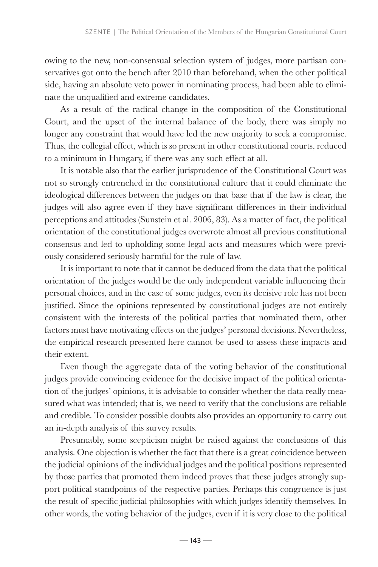owing to the new, non-consensual selection system of judges, more partisan conservatives got onto the bench after 2010 than beforehand, when the other political side, having an absolute veto power in nominating process, had been able to eliminate the unqualified and extreme candidates.

As a result of the radical change in the composition of the Constitutional Court, and the upset of the internal balance of the body, there was simply no longer any constraint that would have led the new majority to seek a compromise. Thus, the collegial effect, which is so present in other constitutional courts, reduced to a minimum in Hungary, if there was any such effect at all.

It is notable also that the earlier jurisprudence of the Constitutional Court was not so strongly entrenched in the constitutional culture that it could eliminate the ideological differences between the judges on that base that if the law is clear, the judges will also agree even if they have significant differences in their individual perceptions and attitudes (Sunstein et al. 2006, 83). As a matter of fact, the political orientation of the constitutional judges overwrote almost all previous constitutional consensus and led to upholding some legal acts and measures which were previously considered seriously harmful for the rule of law.

It is important to note that it cannot be deduced from the data that the political orientation of the judges would be the only independent variable influencing their personal choices, and in the case of some judges, even its decisive role has not been justified. Since the opinions represented by constitutional judges are not entirely consistent with the interests of the political parties that nominated them, other factors must have motivating effects on the judges' personal decisions. Nevertheless, the empirical research presented here cannot be used to assess these impacts and their extent.

Even though the aggregate data of the voting behavior of the constitutional judges provide convincing evidence for the decisive impact of the political orientation of the judges' opinions, it is advisable to consider whether the data really measured what was intended; that is, we need to verify that the conclusions are reliable and credible. To consider possible doubts also provides an opportunity to carry out an in-depth analysis of this survey results.

Presumably, some scepticism might be raised against the conclusions of this analysis. One objection is whether the fact that there is a great coincidence between the judicial opinions of the individual judges and the political positions represented by those parties that promoted them indeed proves that these judges strongly support political standpoints of the respective parties. Perhaps this congruence is just the result of specific judicial philosophies with which judges identify themselves. In other words, the voting behavior of the judges, even if it is very close to the political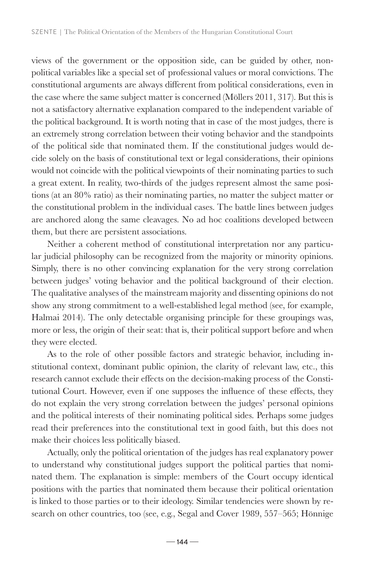views of the government or the opposition side, can be guided by other, nonpolitical variables like a special set of professional values or moral convictions. The constitutional arguments are always different from political considerations, even in the case where the same subject matter is concerned (Möllers 2011, 317). But this is not a satisfactory alternative explanation compared to the independent variable of the political background. It is worth noting that in case of the most judges, there is an extremely strong correlation between their voting behavior and the standpoints of the political side that nominated them. If the constitutional judges would decide solely on the basis of constitutional text or legal considerations, their opinions would not coincide with the political viewpoints of their nominating parties to such a great extent. In reality, two-thirds of the judges represent almost the same positions (at an 80% ratio) as their nominating parties, no matter the subject matter or the constitutional problem in the individual cases. The battle lines between judges are anchored along the same cleavages. No ad hoc coalitions developed between them, but there are persistent associations.

Neither a coherent method of constitutional interpretation nor any particular judicial philosophy can be recognized from the majority or minority opinions. Simply, there is no other convincing explanation for the very strong correlation between judges' voting behavior and the political background of their election. The qualitative analyses of the mainstream majority and dissenting opinions do not show any strong commitment to a well-established legal method (see, for example, Halmai 2014). The only detectable organising principle for these groupings was, more or less, the origin of their seat: that is, their political support before and when they were elected.

As to the role of other possible factors and strategic behavior, including institutional context, dominant public opinion, the clarity of relevant law, etc., this research cannot exclude their effects on the decision-making process of the Constitutional Court. However, even if one supposes the influence of these effects, they do not explain the very strong correlation between the judges' personal opinions and the political interests of their nominating political sides. Perhaps some judges read their preferences into the constitutional text in good faith, but this does not make their choices less politically biased.

Actually, only the political orientation of the judges has real explanatory power to understand why constitutional judges support the political parties that nominated them. The explanation is simple: members of the Court occupy identical positions with the parties that nominated them because their political orientation is linked to those parties or to their ideology. Similar tendencies were shown by research on other countries, too (see, e.g., Segal and Cover 1989, 557–565; Hönnige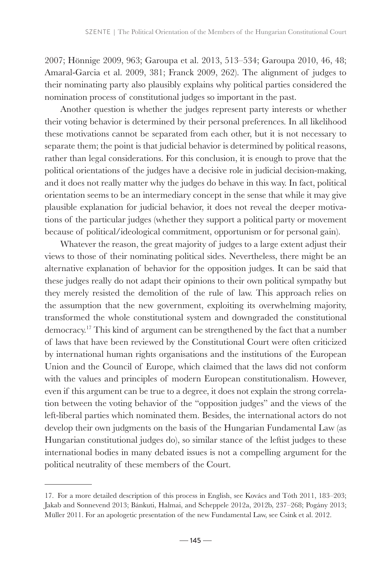2007; Hönnige 2009, 963; Garoupa et al. 2013, 513–534; Garoupa 2010, 46, 48; Amaral-Garcia et al. 2009, 381; Franck 2009, 262). The alignment of judges to their nominating party also plausibly explains why political parties considered the nomination process of constitutional judges so important in the past.

Another question is whether the judges represent party interests or whether their voting behavior is determined by their personal preferences. In all likelihood these motivations cannot be separated from each other, but it is not necessary to separate them; the point is that judicial behavior is determined by political reasons, rather than legal considerations. For this conclusion, it is enough to prove that the political orientations of the judges have a decisive role in judicial decision-making, and it does not really matter why the judges do behave in this way. In fact, political orientation seems to be an intermediary concept in the sense that while it may give plausible explanation for judicial behavior, it does not reveal the deeper motivations of the particular judges (whether they support a political party or movement because of political/ideological commitment, opportunism or for personal gain).

Whatever the reason, the great majority of judges to a large extent adjust their views to those of their nominating political sides. Nevertheless, there might be an alternative explanation of behavior for the opposition judges. It can be said that these judges really do not adapt their opinions to their own political sympathy but they merely resisted the demolition of the rule of law. This approach relies on the assumption that the new government, exploiting its overwhelming majority, transformed the whole constitutional system and downgraded the constitutional democracy.17 This kind of argument can be strengthened by the fact that a number of laws that have been reviewed by the Constitutional Court were often criticized by international human rights organisations and the institutions of the European Union and the Council of Europe, which claimed that the laws did not conform with the values and principles of modern European constitutionalism. However, even if this argument can be true to a degree, it does not explain the strong correlation between the voting behavior of the "opposition judges" and the views of the left-liberal parties which nominated them. Besides, the international actors do not develop their own judgments on the basis of the Hungarian Fundamental Law (as Hungarian constitutional judges do), so similar stance of the leftist judges to these international bodies in many debated issues is not a compelling argument for the political neutrality of these members of the Court.

<sup>17.</sup> For a more detailed description of this process in English, see Kovács and Tóth 2011, 183–203; Jakab and Sonnevend 2013; Bánkuti, Halmai, and Scheppele 2012a, 2012b, 237–268; Pogány 2013; Müller 2011. For an apologetic presentation of the new Fundamental Law, see Csink et al. 2012.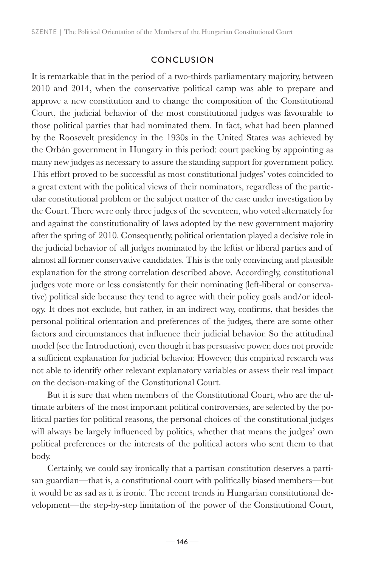# **CONCLUSION**

It is remarkable that in the period of a two-thirds parliamentary majority, between 2010 and 2014, when the conservative political camp was able to prepare and approve a new constitution and to change the composition of the Constitutional Court, the judicial behavior of the most constitutional judges was favourable to those political parties that had nominated them. In fact, what had been planned by the Roosevelt presidency in the 1930s in the United States was achieved by the Orbán government in Hungary in this period: court packing by appointing as many new judges as necessary to assure the standing support for government policy. This effort proved to be successful as most constitutional judges' votes coincided to a great extent with the political views of their nominators, regardless of the particular constitutional problem or the subject matter of the case under investigation by the Court. There were only three judges of the seventeen, who voted alternately for and against the constitutionality of laws adopted by the new government majority after the spring of 2010. Consequently, political orientation played a decisive role in the judicial behavior of all judges nominated by the leftist or liberal parties and of almost all former conservative candidates. This is the only convincing and plausible explanation for the strong correlation described above. Accordingly, constitutional judges vote more or less consistently for their nominating (left-liberal or conservative) political side because they tend to agree with their policy goals and/or ideology. It does not exclude, but rather, in an indirect way, confirms, that besides the personal political orientation and preferences of the judges, there are some other factors and circumstances that influence their judicial behavior. So the attitudinal model (see the Introduction), even though it has persuasive power, does not provide a sufficient explanation for judicial behavior. However, this empirical research was not able to identify other relevant explanatory variables or assess their real impact on the decison-making of the Constitutional Court.

But it is sure that when members of the Constitutional Court, who are the ultimate arbiters of the most important political controversies, are selected by the political parties for political reasons, the personal choices of the constitutional judges will always be largely influenced by politics, whether that means the judges' own political preferences or the interests of the political actors who sent them to that body.

Certainly, we could say ironically that a partisan constitution deserves a partisan guardian—that is, a constitutional court with politically biased members—but it would be as sad as it is ironic. The recent trends in Hungarian constitutional development—the step-by-step limitation of the power of the Constitutional Court,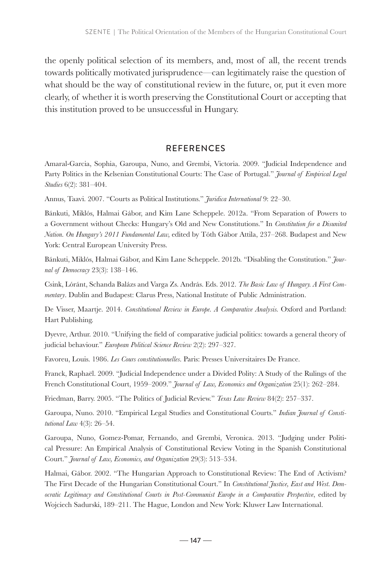the openly political selection of its members, and, most of all, the recent trends towards politically motivated jurisprudence—can legitimately raise the question of what should be the way of constitutional review in the future, or, put it even more clearly, of whether it is worth preserving the Constitutional Court or accepting that this institution proved to be unsuccessful in Hungary.

# **REFERENCES**

Amaral-Garcia, Sophia, Garoupa, Nuno, and Grembi, Victoria. 2009. "Judicial Independence and Party Politics in the Kelsenian Constitutional Courts: The Case of Portugal." *Journal of Empirical Legal Studies* 6(2): 381–404.

Annus, Taavi. 2007. "Courts as Political Institutions." *Juridica International* 9: 22–30.

Bánkuti, Miklós, Halmai Gábor, and Kim Lane Scheppele. 2012a. "From Separation of Powers to a Government without Checks: Hungary's Old and New Constitutions." In *Constitution for a Disunited Nation. On Hungary's 2011 Fundamental Law,* edited by Tóth Gábor Attila, 237–268. Budapest and New York: Central European University Press.

Bánkuti, Miklós, Halmai Gábor, and Kim Lane Scheppele. 2012b. "Disabling the Constitution." *Journal of Democracy* 23(3): 138–146.

Csink, Lóránt, Schanda Balázs and Varga Zs. András. Eds. 2012. *The Basic Law of Hungary. A First Commentary*. Dublin and Budapest: Clarus Press, National Institute of Public Administration.

De Visser, Maartje. 2014. *Constitutional Review in Europe. A Comparative Analysis.* Oxford and Portland: Hart Publishing.

Dyevre, Arthur. 2010. "Unifying the field of comparative judicial politics: towards a general theory of judicial behaviour." *European Political Science Review* 2(2): 297–327.

Favoreu, Louis. 1986. *Les Cours constitutionnelles*. Paris: Presses Universitaires De France.

Franck, Raphaël. 2009. "Judicial Independence under a Divided Polity: A Study of the Rulings of the French Constitutional Court, 1959–2009." *Journal of Law, Economics and Organization* 25(1): 262–284.

Friedman, Barry. 2005. "The Politics of Judicial Review." *Texas Law Review* 84(2): 257–337.

Garoupa, Nuno. 2010. "Empirical Legal Studies and Constitutional Courts." *Indian Journal of Constitutional Law* 4(3): 26–54.

Garoupa, Nuno, Gomez-Pomar, Fernando, and Grembi, Veronica. 2013. "Judging under Political Pressure: An Empirical Analysis of Constitutional Review Voting in the Spanish Constitutional Court." *Journal of Law, Economics, and Organization* 29(3): 513–534.

Halmai, Gábor. 2002. "The Hungarian Approach to Constitutional Review: The End of Activism? The First Decade of the Hungarian Constitutional Court." In *Constitutional Justice, East and West. Democratic Legitimacy and Constitutional Courts in Post-Communist Europe in a Comparative Perspective*, edited by Wojciech Sadurski, 189–211. The Hague, London and New York: Kluwer Law International.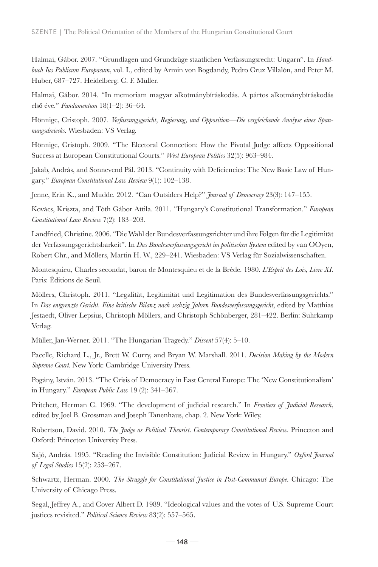Halmai, Gábor. 2007. "Grundlagen und Grundzüge staatlichen Verfassungsrecht: Ungarn". In *Handbuch Ius Publicum Europaeum*, vol. I., edited by Armin von Bogdandy, Pedro Cruz Villalón, and Peter M. Huber, 687–727. Heidelberg: C. F. Müller.

Halmai, Gábor. 2014. "In memoriam magyar alkotmánybíráskodás. A pártos alkotmánybíráskodás első éve." *Fundamentum* 18(1–2): 36–64.

Hönnige, Cristoph. 2007. *Verfassungsgericht, Regierung, und Opposition—Die vergleichende Analyse eines Spannungsdreiecks.* Wiesbaden: VS Verlag.

Hönnige, Cristoph. 2009. "The Electoral Connection: How the Pivotal Judge affects Oppositional Success at European Constitutional Courts." *West European Politics* 32(5): 963–984.

Jakab, András, and Sonnevend Pál. 2013. "Continuity with Deficiencies: The New Basic Law of Hungary." *European Constitutional Law Review* 9(1): 102–138.

Jenne, Erin K., and Mudde. 2012. "Can Outsiders Help?" *Journal of Democracy* 23(3): 147–155.

Kovács, Kriszta, and Tóth Gábor Attila. 2011. "Hungary's Constitutional Transformation." *European Constitutional Law Review* 7(2): 183–203.

Landfried, Christine. 2006. "Die Wahl der Bundesverfassungsrichter und ihre Folgen für die Legitimität der Verfassungsgerichtsbarkeit". In *Das Bundesverfassungsgericht im politischen System* edited by van OOyen, Robert Chr., and Möllers, Martin H. W., 229–241. Wiesbaden: VS Verlag für Sozialwissenschaften.

Montesquieu, Charles secondat, baron de Montesquieu et de la Brède. 1980. *L'Esprit des Lois, Livre XI*. Paris: Éditions de Seuil.

Möllers, Christoph. 2011. "Legalität, Legitimität und Legitimation des Bundesverfassungsgerichts." In *Das entgrenzte Gericht. Eine kritische Bilanz nach sechzig Jahren Bundesverfassungsgericht*, edited by Matthias Jestaedt, Oliver Lepsius, Christoph Möllers, and Christoph Schönberger, 281–422. Berlin: Suhrkamp Verlag.

Müller, Jan-Werner. 2011. "The Hungarian Tragedy." *Dissent* 57(4): 5–10.

Pacelle, Richard L., Jr., Brett W. Curry, and Bryan W. Marshall. 2011. *Decision Making by the Modern Supreme Court.* New York: Cambridge University Press.

Pogány, István. 2013. "The Crisis of Democracy in East Central Europe: The 'New Constitutionalism' in Hungary." *European Public Law* 19 (2): 341–367.

Pritchett, Herman C. 1969. "The development of judicial research." In *Frontiers of Judicial Research*, edited by Joel B. Grossman and Joseph Tanenhaus, chap. 2. New York: Wiley.

Robertson, David. 2010. *The Judge as Political Theorist. Contemporary Constitutional Review.* Princeton and Oxford: Princeton University Press.

Sajó, András. 1995. "Reading the Invisible Constitution: Judicial Review in Hungary." *Oxford Journal of Legal Studies* 15(2): 253–267.

Schwartz, Herman. 2000. *The Struggle for Constitutional Justice in Post-Communist Europe*. Chicago: The University of Chicago Press.

Segal, Jeffrey A., and Cover Albert D. 1989. "Ideological values and the votes of U.S. Supreme Court justices revisited." *Political Science Review* 83(2): 557–565.